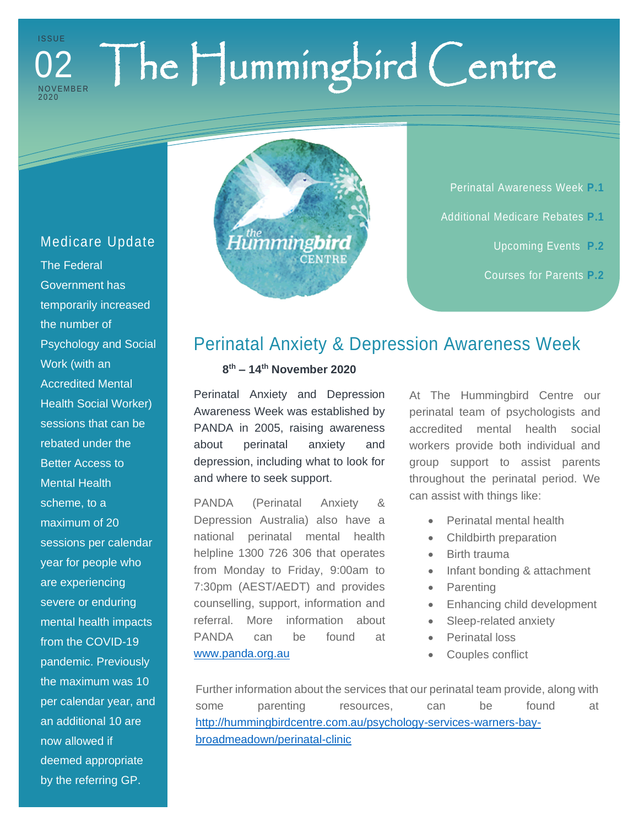### The Hummingbird Centre **ISSUE NOVEMBER** 202 0 02

## Medicare Update

The Federal Government has temporarily increased the number of Psychology and Social Work (with an Accredited Mental Health Social Worker) sessions that can be rebated under the Better Access to Mental Health scheme, to a maximum of 20 sessions per calendar year for people who are experiencing severe or enduring mental health impacts from the COVID-19 pandemic. Previously the maximum was 10 per calendar year, and an additional 10 are now allowed if deemed appropriate by the referring GP.



Perinatal Awareness Week **P.1** Additional Medicare Rebates **P.1** Upcoming Events **P.2** Courses for Parents **P.2**

## Perinatal Anxiety & Depression Awareness Week

**8 th – 14th November 2020**

Perinatal Anxiety and Depression Awareness Week was established by PANDA in 2005, raising awareness about perinatal anxiety and depression, including what to look for and where to seek support.

PANDA (Perinatal Anxiety & Depression Australia) also have a national perinatal mental health helpline 1300 726 306 that operates from Monday to Friday, 9:00am to 7:30pm (AEST/AEDT) and provides counselling, support, information and referral. More information about PANDA can be found at <www.panda.org.au>

At The Hummingbird Centre our perinatal team of psychologists and accredited mental health social workers provide both individual and group support to assist parents throughout the perinatal period. We can assist with things like:

- Perinatal mental health
- Childbirth preparation
- Birth trauma
- Infant bonding & attachment
- Parenting
- Enhancing child development
- Sleep-related anxiety
- Perinatal loss
- Couples conflict

Further information about the services that our perinatal team provide, along with some parenting resources, can be found at [http://hummingbirdcentre.com.au/psychology-services-warners-bay](http://hummingbirdcentre.com.au/psychology-services-warners-bay-broadmeadown/perinatal-clinic)[broadmeadown/perinatal-clinic](http://hummingbirdcentre.com.au/psychology-services-warners-bay-broadmeadown/perinatal-clinic)